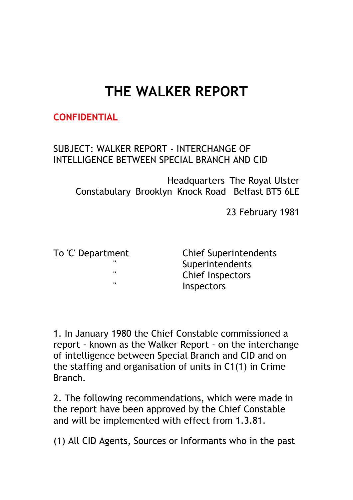# **THE WALKER REPORT**

## **CONFIDENTIAL** Reference C352/70

## SUBJECT: WALKER REPORT - INTERCHANGE OF INTELLIGENCE BETWEEN SPECIAL BRANCH AND CID

Headquarters The Royal Ulster Constabulary Brooklyn Knock Road Belfast BT5 6LE

23 February 1981

To 'C' Department Chief Superintendents **Superintendents** " Chief Inspectors **Inspectors** 

1. In January 1980 the Chief Constable commissioned a report - known as the Walker Report - on the interchange of intelligence between Special Branch and CID and on the staffing and organisation of units in C1(1) in Crime Branch.

2. The following recommendations, which were made in the report have been approved by the Chief Constable and will be implemented with effect from 1.3.81.

(1) All CID Agents, Sources or Informants who in the past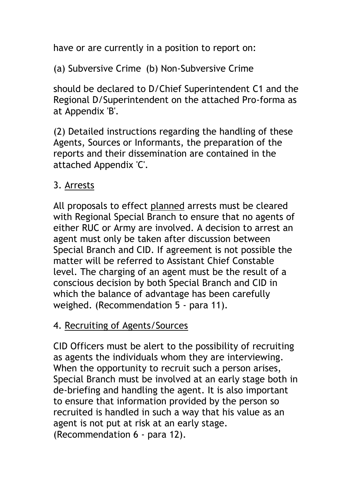have or are currently in a position to report on:

(a) Subversive Crime (b) Non-Subversive Crime

should be declared to D/Chief Superintendent C1 and the Regional D/Superintendent on the attached Pro-forma as at Appendix 'B'.

(2) Detailed instructions regarding the handling of these Agents, Sources or Informants, the preparation of the reports and their dissemination are contained in the attached Appendix 'C'.

## 3. Arrests

All proposals to effect planned arrests must be cleared with Regional Special Branch to ensure that no agents of either RUC or Army are involved. A decision to arrest an agent must only be taken after discussion between Special Branch and CID. If agreement is not possible the matter will be referred to Assistant Chief Constable level. The charging of an agent must be the result of a conscious decision by both Special Branch and CID in which the balance of advantage has been carefully weighed. (Recommendation 5 - para 11).

## 4. Recruiting of Agents/Sources

CID Officers must be alert to the possibility of recruiting as agents the individuals whom they are interviewing. When the opportunity to recruit such a person arises, Special Branch must be involved at an early stage both in de-briefing and handling the agent. It is also important to ensure that information provided by the person so recruited is handled in such a way that his value as an agent is not put at risk at an early stage. (Recommendation 6 - para 12).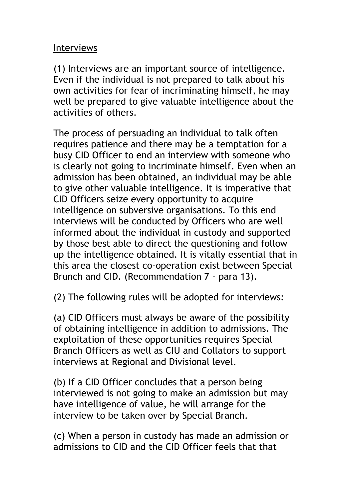#### Interviews

(1) Interviews are an important source of intelligence. Even if the individual is not prepared to talk about his own activities for fear of incriminating himself, he may well be prepared to give valuable intelligence about the activities of others.

The process of persuading an individual to talk often requires patience and there may be a temptation for a busy CID Officer to end an interview with someone who is clearly not going to incriminate himself. Even when an admission has been obtained, an individual may be able to give other valuable intelligence. It is imperative that CID Officers seize every opportunity to acquire intelligence on subversive organisations. To this end interviews will be conducted by Officers who are well informed about the individual in custody and supported by those best able to direct the questioning and follow up the intelligence obtained. It is vitally essential that in this area the closest co-operation exist between Special Brunch and CID. (Recommendation 7 - para 13).

(2) The following rules will be adopted for interviews:

(a) CID Officers must always be aware of the possibility of obtaining intelligence in addition to admissions. The exploitation of these opportunities requires Special Branch Officers as well as CIU and Collators to support interviews at Regional and Divisional level.

(b) If a CID Officer concludes that a person being interviewed is not going to make an admission but may have intelligence of value, he will arrange for the interview to be taken over by Special Branch.

(c) When a person in custody has made an admission or admissions to CID and the CID Officer feels that that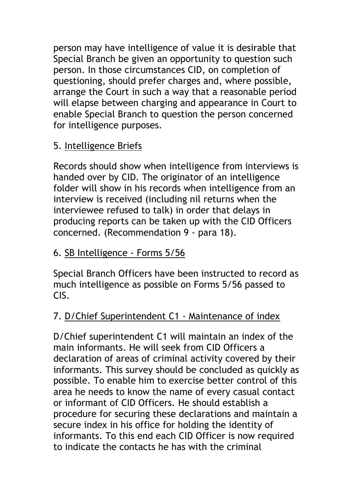person may have intelligence of value it is desirable that Special Branch be given an opportunity to question such person. In those circumstances CID, on completion of questioning, should prefer charges and, where possible, arrange the Court in such a way that a reasonable period will elapse between charging and appearance in Court to enable Special Branch to question the person concerned for intelligence purposes.

## 5. Intelligence Briefs

Records should show when intelligence from interviews is handed over by CID. The originator of an intelligence folder will show in his records when intelligence from an interview is received (including nil returns when the interviewee refused to talk) in order that delays in producing reports can be taken up with the CID Officers concerned. (Recommendation 9 - para 18).

# 6. SB Intelligence - Forms 5/56

Special Branch Officers have been instructed to record as much intelligence as possible on Forms 5/56 passed to CIS.

# 7. D/Chief Superintendent C1 - Maintenance of index

D/Chief superintendent C1 will maintain an index of the main informants. He will seek from CID Officers a declaration of areas of criminal activity covered by their informants. This survey should be concluded as quickly as possible. To enable him to exercise better control of this area he needs to know the name of every casual contact or informant of CID Officers. He should establish a procedure for securing these declarations and maintain a secure index in his office for holding the identity of informants. To this end each CID Officer is now required to indicate the contacts he has with the criminal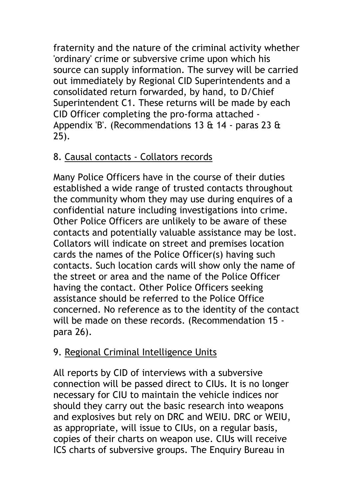fraternity and the nature of the criminal activity whether 'ordinary' crime or subversive crime upon which his source can supply information. The survey will be carried out immediately by Regional CID Superintendents and a consolidated return forwarded, by hand, to D/Chief Superintendent C1. These returns will be made by each CID Officer completing the pro-forma attached - Appendix 'B'. (Recommendations 13 & 14 - paras 23 & 25).

## 8. Causal contacts - Collators records

Many Police Officers have in the course of their duties established a wide range of trusted contacts throughout the community whom they may use during enquires of a confidential nature including investigations into crime. Other Police Officers are unlikely to be aware of these contacts and potentially valuable assistance may be lost. Collators will indicate on street and premises location cards the names of the Police Officer(s) having such contacts. Such location cards will show only the name of the street or area and the name of the Police Officer having the contact. Other Police Officers seeking assistance should be referred to the Police Office concerned. No reference as to the identity of the contact will be made on these records. (Recommendation 15 para 26).

# 9. Regional Criminal Intelligence Units

All reports by CID of interviews with a subversive connection will be passed direct to CIUs. It is no longer necessary for CIU to maintain the vehicle indices nor should they carry out the basic research into weapons and explosives but rely on DRC and WEIU. DRC or WEIU, as appropriate, will issue to CIUs, on a regular basis, copies of their charts on weapon use. CIUs will receive ICS charts of subversive groups. The Enquiry Bureau in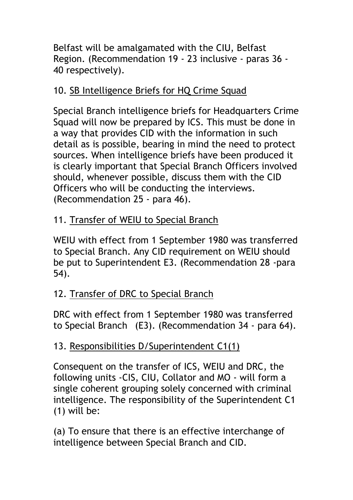Belfast will be amalgamated with the CIU, Belfast Region. (Recommendation 19 - 23 inclusive - paras 36 - 40 respectively).

## 10. SB Intelligence Briefs for HQ Crime Squad

Special Branch intelligence briefs for Headquarters Crime Squad will now be prepared by ICS. This must be done in a way that provides CID with the information in such detail as is possible, bearing in mind the need to protect sources. When intelligence briefs have been produced it is clearly important that Special Branch Officers involved should, whenever possible, discuss them with the CID Officers who will be conducting the interviews. (Recommendation 25 - para 46).

# 11. Transfer of WEIU to Special Branch

WEIU with effect from 1 September 1980 was transferred to Special Branch. Any CID requirement on WEIU should be put to Superintendent E3. (Recommendation 28 -para 54).

# 12. Transfer of DRC to Special Branch

DRC with effect from 1 September 1980 was transferred to Special Branch (E3). (Recommendation 34 - para 64).

# 13. Responsibilities D/Superintendent C1(1)

Consequent on the transfer of ICS, WEIU and DRC, the following units -CIS, CIU, Collator and MO - will form a single coherent grouping solely concerned with criminal intelligence. The responsibility of the Superintendent C1 (1) will be:

(a) To ensure that there is an effective interchange of intelligence between Special Branch and CID.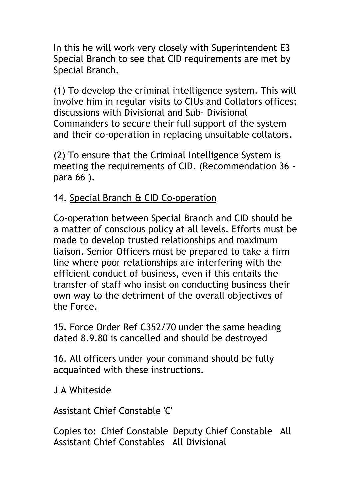In this he will work very closely with Superintendent E3 Special Branch to see that CID requirements are met by Special Branch.

(1) To develop the criminal intelligence system. This will involve him in regular visits to CIUs and Collators offices; discussions with Divisional and Sub- Divisional Commanders to secure their full support of the system and their co-operation in replacing unsuitable collators.

(2) To ensure that the Criminal Intelligence System is meeting the requirements of CID. (Recommendation 36 para 66 ).

#### 14. Special Branch & CID Co-operation

Co-operation between Special Branch and CID should be a matter of conscious policy at all levels. Efforts must be made to develop trusted relationships and maximum liaison. Senior Officers must be prepared to take a firm line where poor relationships are interfering with the efficient conduct of business, even if this entails the transfer of staff who insist on conducting business their own way to the detriment of the overall objectives of the Force.

15. Force Order Ref C352/70 under the same heading dated 8.9.80 is cancelled and should be destroyed

16. All officers under your command should be fully acquainted with these instructions.

J A Whiteside

Assistant Chief Constable 'C'

Copies to: Chief Constable Deputy Chief Constable All Assistant Chief Constables All Divisional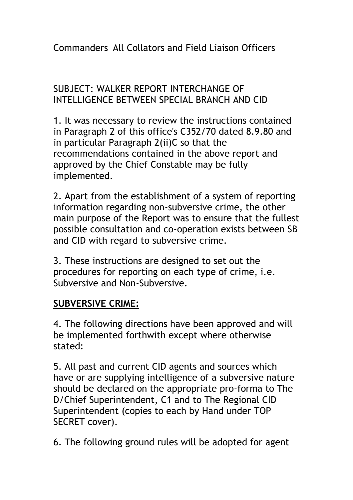Commanders All Collators and Field Liaison Officers

## SUBJECT: WALKER REPORT INTERCHANGE OF INTELLIGENCE BETWEEN SPECIAL BRANCH AND CID

1. It was necessary to review the instructions contained in Paragraph 2 of this office's C352/70 dated 8.9.80 and in particular Paragraph 2(ii)C so that the recommendations contained in the above report and approved by the Chief Constable may be fully implemented.

2. Apart from the establishment of a system of reporting information regarding non-subversive crime, the other main purpose of the Report was to ensure that the fullest possible consultation and co-operation exists between SB and CID with regard to subversive crime.

3. These instructions are designed to set out the procedures for reporting on each type of crime, i.e. Subversive and Non-Subversive.

#### **SUBVERSIVE CRIME:**

4. The following directions have been approved and will be implemented forthwith except where otherwise stated:

5. All past and current CID agents and sources which have or are supplying intelligence of a subversive nature should be declared on the appropriate pro-forma to The D/Chief Superintendent, C1 and to The Regional CID Superintendent (copies to each by Hand under TOP SECRET cover).

6. The following ground rules will be adopted for agent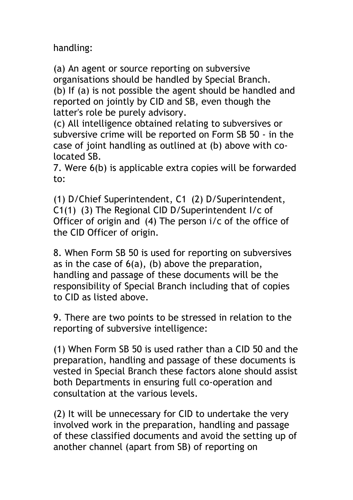handling:

(a) An agent or source reporting on subversive organisations should be handled by Special Branch. (b) If (a) is not possible the agent should be handled and reported on jointly by CID and SB, even though the latter's role be purely advisory.

(c) All intelligence obtained relating to subversives or subversive crime will be reported on Form SB 50 - in the case of joint handling as outlined at (b) above with colocated SB.

7. Were 6(b) is applicable extra copies will be forwarded to:

(1) D/Chief Superintendent, C1 (2) D/Superintendent, C1(1) (3) The Regional CID D/Superintendent I/c of Officer of origin and (4) The person i/c of the office of the CID Officer of origin.

8. When Form SB 50 is used for reporting on subversives as in the case of  $6(a)$ , (b) above the preparation, handling and passage of these documents will be the responsibility of Special Branch including that of copies to CID as listed above.

9. There are two points to be stressed in relation to the reporting of subversive intelligence:

(1) When Form SB 50 is used rather than a CID 50 and the preparation, handling and passage of these documents is vested in Special Branch these factors alone should assist both Departments in ensuring full co-operation and consultation at the various levels.

(2) It will be unnecessary for CID to undertake the very involved work in the preparation, handling and passage of these classified documents and avoid the setting up of another channel (apart from SB) of reporting on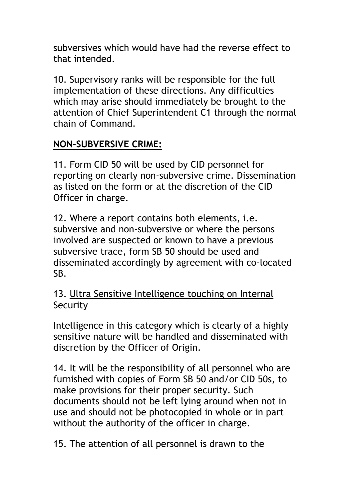subversives which would have had the reverse effect to that intended.

10. Supervisory ranks will be responsible for the full implementation of these directions. Any difficulties which may arise should immediately be brought to the attention of Chief Superintendent C1 through the normal chain of Command.

## **NON-SUBVERSIVE CRIME:**

11. Form CID 50 will be used by CID personnel for reporting on clearly non-subversive crime. Dissemination as listed on the form or at the discretion of the CID Officer in charge.

12. Where a report contains both elements, i.e. subversive and non-subversive or where the persons involved are suspected or known to have a previous subversive trace, form SB 50 should be used and disseminated accordingly by agreement with co-located SB.

## 13. Ultra Sensitive Intelligence touching on Internal **Security**

Intelligence in this category which is clearly of a highly sensitive nature will be handled and disseminated with discretion by the Officer of Origin.

14. It will be the responsibility of all personnel who are furnished with copies of Form SB 50 and/or CID 50s, to make provisions for their proper security. Such documents should not be left lying around when not in use and should not be photocopied in whole or in part without the authority of the officer in charge.

15. The attention of all personnel is drawn to the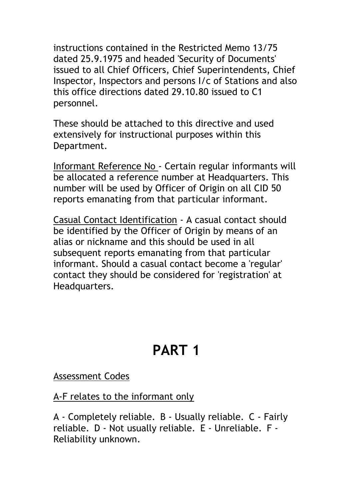instructions contained in the Restricted Memo 13/75 dated 25.9.1975 and headed 'Security of Documents' issued to all Chief Officers, Chief Superintendents, Chief Inspector, Inspectors and persons I/c of Stations and also this office directions dated 29.10.80 issued to C1 personnel.

These should be attached to this directive and used extensively for instructional purposes within this Department.

Informant Reference No - Certain regular informants will be allocated a reference number at Headquarters. This number will be used by Officer of Origin on all CID 50 reports emanating from that particular informant.

Casual Contact Identification - A casual contact should be identified by the Officer of Origin by means of an alias or nickname and this should be used in all subsequent reports emanating from that particular informant. Should a casual contact become a 'regular' contact they should be considered for 'registration' at Headquarters.

# **PART 1**

#### Assessment Codes

A-F relates to the informant only

A - Completely reliable. B - Usually reliable. C - Fairly reliable. D - Not usually reliable. E - Unreliable. F - Reliability unknown.